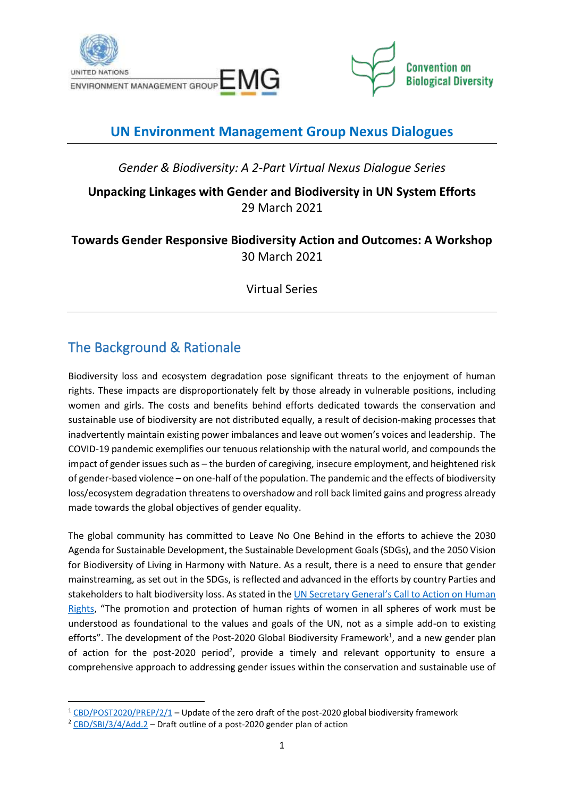



## **UN Environment Management Group Nexus Dialogues**

*Gender & Biodiversity: A 2-Part Virtual Nexus Dialogue Series*

### **Unpacking Linkages with Gender and Biodiversity in UN System Efforts** 29 March 2021

### **Towards Gender Responsive Biodiversity Action and Outcomes: A Workshop** 30 March 2021

Virtual Series

## The Background & Rationale

Biodiversity loss and ecosystem degradation pose significant threats to the enjoyment of human rights. These impacts are disproportionately felt by those already in vulnerable positions, including women and girls. The costs and benefits behind efforts dedicated towards the conservation and sustainable use of biodiversity are not distributed equally, a result of decision-making processes that inadvertently maintain existing power imbalances and leave out women's voices and leadership. The COVID-19 pandemic exemplifies our tenuous relationship with the natural world, and compounds the impact of gender issues such as – the burden of caregiving, insecure employment, and heightened risk of gender-based violence – on one-half of the population. The pandemic and the effects of biodiversity loss/ecosystem degradation threatens to overshadow and roll back limited gains and progress already made towards the global objectives of gender equality.

The global community has committed to Leave No One Behind in the efforts to achieve the 2030 Agenda for Sustainable Development, the Sustainable Development Goals(SDGs), and the 2050 Vision for Biodiversity of Living in Harmony with Nature. As a result, there is a need to ensure that gender mainstreaming, as set out in the SDGs, is reflected and advanced in the efforts by country Parties and stakeholders to halt biodiversity loss. As stated in the [UN Secretary General's Call to Action on Human](https://www.un.org/sg/sites/www.un.org.sg/files/atoms/files/The_Highest_Asperation_A_Call_To_Action_For_Human_Right_English.pdf)  [Rights,](https://www.un.org/sg/sites/www.un.org.sg/files/atoms/files/The_Highest_Asperation_A_Call_To_Action_For_Human_Right_English.pdf) "The promotion and protection of human rights of women in all spheres of work must be understood as foundational to the values and goals of the UN, not as a simple add-on to existing efforts". The development of the Post-2020 Global Biodiversity Framework<sup>1</sup>, and a new gender plan of action for the post-2020 period<sup>2</sup>, provide a timely and relevant opportunity to ensure a comprehensive approach to addressing gender issues within the conservation and sustainable use of

<sup>&</sup>lt;sup>1</sup> [CBD/POST2020/PREP/2/1](https://www.cbd.int/doc/c/3064/749a/0f65ac7f9def86707f4eaefa/post2020-prep-02-01-en.pdf) – Update of the zero draft of the post-2020 global biodiversity framework

<sup>&</sup>lt;sup>2</sup> [CBD/SBI/3/4/Add.2](https://www.cbd.int/doc/c/1037/0c47/974ee71c8778acceb3813a95/sbi-03-04-add2-en.pdf) – Draft outline of a post-2020 gender plan of action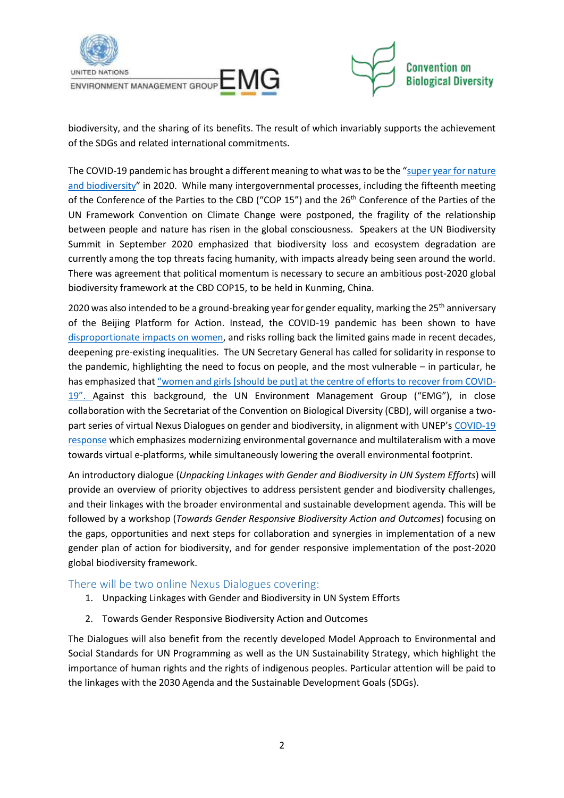

biodiversity, and the sharing of its benefits. The result of which invariably supports the achievement of the SDGs and related international commitments.

The COVID-19 pandemic has brought a different meaning to what was to be the "super year for nature [and biodiversity](https://www.unenvironment.org/news-and-stories/news/spotlight-nature-and-biodiversity)" in 2020. While many intergovernmental processes, including the fifteenth meeting of the Conference of the Parties to the CBD ("COP 15") and the 26<sup>th</sup> Conference of the Parties of the UN Framework Convention on Climate Change were postponed, the fragility of the relationship between people and nature has risen in the global consciousness. Speakers at the UN Biodiversity Summit in September 2020 emphasized that biodiversity loss and ecosystem degradation are currently among the top threats facing humanity, with impacts already being seen around the world. There was agreement that political momentum is necessary to secure an ambitious post-2020 global biodiversity framework at the CBD COP15, to be held in Kunming, China.

2020 was also intended to be a ground-breaking year for gender equality, marking the 25<sup>th</sup> anniversary of the Beijing Platform for Action. Instead, the COVID-19 pandemic has been shown to have [disproportionate impacts on women,](https://www.unwomen.org/-/media/headquarters/attachments/sections/library/publications/2020/policy-brief-the-impact-of-covid-19-on-women-en.pdf?la=en&vs=1406) and risks rolling back the limited gains made in recent decades, deepening pre-existing inequalities. The UN Secretary General has called for solidarity in response to the pandemic, highlighting the need to focus on people, and the most vulnerable – in particular, he has emphasized that "women and girls [shou[ld be put\] at the centre of efforts to recover from COVID-](https://www.unwomen.org/en/news/stories/2020/4/statement-sg-put-women-and-girls-at-the-centre-of-efforts-to-recover-from-covid19)[19".](https://www.unwomen.org/en/news/stories/2020/4/statement-sg-put-women-and-girls-at-the-centre-of-efforts-to-recover-from-covid19) Against this background, the UN Environment Management Group ("EMG"), in close collaboration with the Secretariat of the Convention on Biological Diversity (CBD), will organise a twopart series of virtual Nexus Dialogues on gender and biodiversity, in alignment with UNEP's COVID-19 [response](https://wedocs.unep.org/bitstream/handle/20.500.11822/32218/UNEP_COVID.pdf?sequence=1&isAllowed=y) which emphasizes modernizing environmental governance and multilateralism with a move towards virtual e-platforms, while simultaneously lowering the overall environmental footprint.

An introductory dialogue (*Unpacking Linkages with Gender and Biodiversity in UN System Efforts*) will provide an overview of priority objectives to address persistent gender and biodiversity challenges, and their linkages with the broader environmental and sustainable development agenda. This will be followed by a workshop (*Towards Gender Responsive Biodiversity Action and Outcomes*) focusing on the gaps, opportunities and next steps for collaboration and synergies in implementation of a new gender plan of action for biodiversity, and for gender responsive implementation of the post-2020 global biodiversity framework.

#### There will be two online Nexus Dialogues covering:

- 1. Unpacking Linkages with Gender and Biodiversity in UN System Efforts
- 2. Towards Gender Responsive Biodiversity Action and Outcomes

The Dialogues will also benefit from the recently developed Model Approach to Environmental and Social Standards for UN Programming as well as the UN Sustainability Strategy, which highlight the importance of human rights and the rights of indigenous peoples. Particular attention will be paid to the linkages with the 2030 Agenda and the Sustainable Development Goals (SDGs).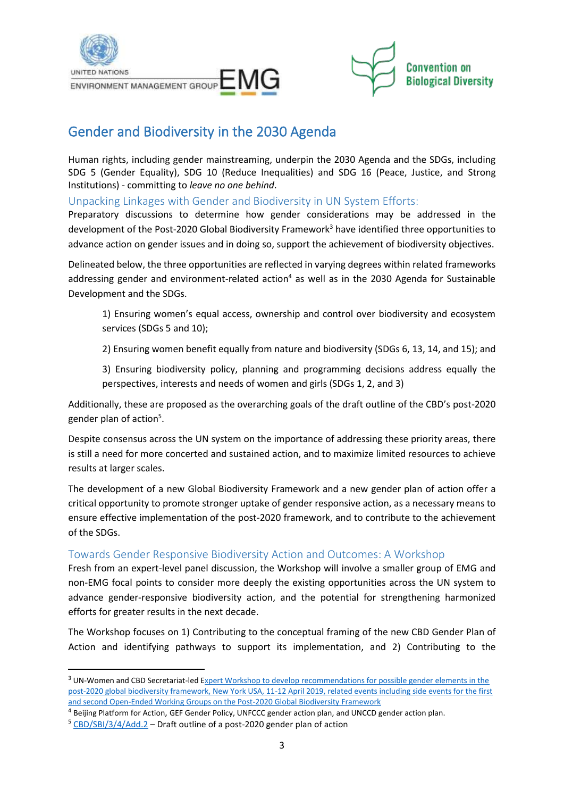



## Gender and Biodiversity in the 2030 Agenda

Human rights, including gender mainstreaming, underpin the 2030 Agenda and the SDGs, including SDG 5 (Gender Equality), SDG 10 (Reduce Inequalities) and SDG 16 (Peace, Justice, and Strong Institutions) - committing to *leave no one behind*.

Unpacking Linkages with Gender and Biodiversity in UN System Efforts:

Preparatory discussions to determine how gender considerations may be addressed in the development of the Post-2020 Global Biodiversity Framework<sup>3</sup> have identified three opportunities to advance action on gender issues and in doing so, support the achievement of biodiversity objectives.

Delineated below, the three opportunities are reflected in varying degrees within related frameworks addressing gender and environment-related action<sup>4</sup> as well as in the 2030 Agenda for Sustainable Development and the SDGs.

- 1) Ensuring women's equal access, ownership and control over biodiversity and ecosystem services (SDGs 5 and 10);
- 2) Ensuring women benefit equally from nature and biodiversity (SDGs 6, 13, 14, and 15); and

3) Ensuring biodiversity policy, planning and programming decisions address equally the perspectives, interests and needs of women and girls (SDGs 1, 2, and 3)

Additionally, these are proposed as the overarching goals of the draft outline of the CBD's post-2020 gender plan of action<sup>5</sup>.

Despite consensus across the UN system on the importance of addressing these priority areas, there is still a need for more concerted and sustained action, and to maximize limited resources to achieve results at larger scales.

The development of a new Global Biodiversity Framework and a new gender plan of action offer a critical opportunity to promote stronger uptake of gender responsive action, as a necessary means to ensure effective implementation of the post-2020 framework, and to contribute to the achievement of the SDGs.

#### Towards Gender Responsive Biodiversity Action and Outcomes: A Workshop

Fresh from an expert-level panel discussion, the Workshop will involve a smaller group of EMG and non-EMG focal points to consider more deeply the existing opportunities across the UN system to advance gender-responsive biodiversity action, and the potential for strengthening harmonized efforts for greater results in the next decade.

The Workshop focuses on 1) Contributing to the conceptual framing of the new CBD Gender Plan of Action and identifying pathways to support its implementation, and 2) Contributing to the

<sup>&</sup>lt;sup>3</sup> UN-Women and CBD Secretariat-led Expert Workshop to develop recommendations for possible gender elements in the [post-2020 global biodiversity framework, New York USA, 11-12 April 2019,](https://www.cbd.int/doc/c/423f/a276/206bc2751c07658af8fa1a4a/gb-om-2019-01-02-en.pdf) related events including side events for the first and second Open-Ended Working Groups on the Post-2020 Global Biodiversity Framework

<sup>4</sup> Beijing Platform for Action, GEF Gender Policy, UNFCCC gender action plan, and UNCCD gender action plan.

<sup>&</sup>lt;sup>5</sup> [CBD/SBI/3/4/Add.2](https://www.cbd.int/doc/c/1037/0c47/974ee71c8778acceb3813a95/sbi-03-04-add2-en.pdf) - Draft outline of a post-2020 gender plan of action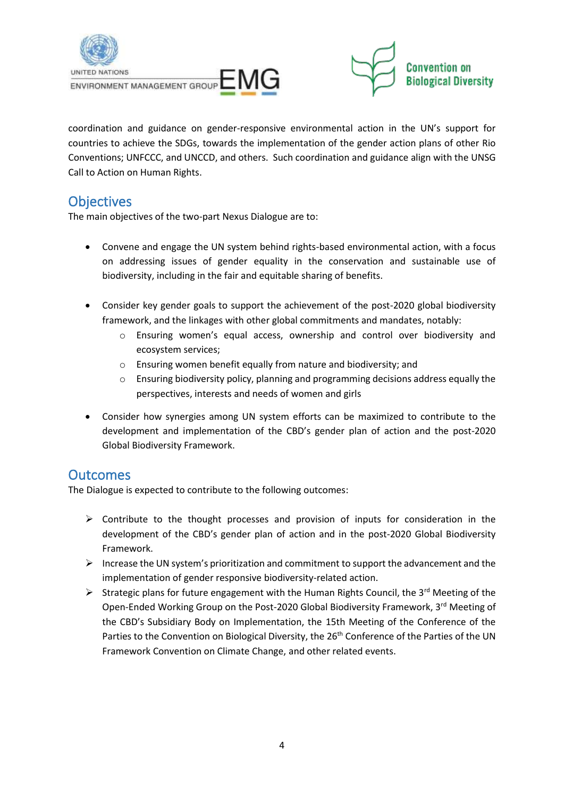



coordination and guidance on gender-responsive environmental action in the UN's support for countries to achieve the SDGs, towards the implementation of the gender action plans of other Rio Conventions; UNFCCC, and UNCCD, and others. Such coordination and guidance align with the UNSG Call to Action on Human Rights.

### **Objectives**

The main objectives of the two-part Nexus Dialogue are to:

- Convene and engage the UN system behind rights-based environmental action, with a focus on addressing issues of gender equality in the conservation and sustainable use of biodiversity, including in the fair and equitable sharing of benefits.
- Consider key gender goals to support the achievement of the post-2020 global biodiversity framework, and the linkages with other global commitments and mandates, notably:
	- o Ensuring women's equal access, ownership and control over biodiversity and ecosystem services;
	- o Ensuring women benefit equally from nature and biodiversity; and
	- o Ensuring biodiversity policy, planning and programming decisions address equally the perspectives, interests and needs of women and girls
- Consider how synergies among UN system efforts can be maximized to contribute to the development and implementation of the CBD's gender plan of action and the post-2020 Global Biodiversity Framework.

### **Outcomes**

The Dialogue is expected to contribute to the following outcomes:

- ➢ Contribute to the thought processes and provision of inputs for consideration in the development of the CBD's gender plan of action and in the post-2020 Global Biodiversity Framework.
- ➢ Increase the UN system's prioritization and commitment to support the advancement and the implementation of gender responsive biodiversity-related action.
- $\triangleright$  Strategic plans for future engagement with the Human Rights Council, the 3<sup>rd</sup> Meeting of the Open-Ended Working Group on the Post-2020 Global Biodiversity Framework, 3<sup>rd</sup> Meeting of the CBD's Subsidiary Body on Implementation, the 15th Meeting of the Conference of the Parties to the Convention on Biological Diversity, the 26<sup>th</sup> Conference of the Parties of the UN Framework Convention on Climate Change, and other related events.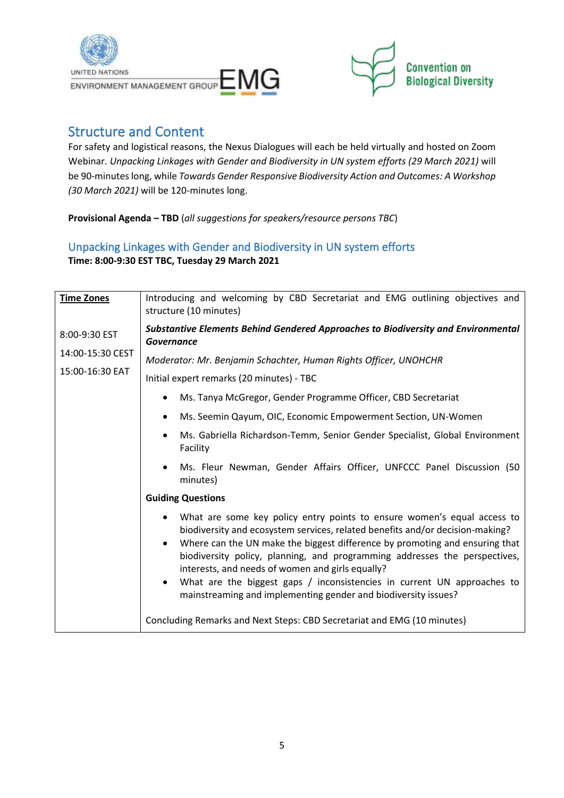



### Structure and Content

For safety and logistical reasons, the Nexus Dialogues will each be held virtually and hosted on Zoom Webinar. *Unpacking Linkages with Gender and Biodiversity in UN system efforts (29 March 2021)* will be 90-minutes long, while *Towards Gender Responsive Biodiversity Action and Outcomes: A Workshop (30 March 2021)* will be 120-minutes long.

**Provisional Agenda – TBD** (*all suggestions for speakers/resource persons TBC*)

#### Unpacking Linkages with Gender and Biodiversity in UN system efforts **Time: 8:00-9:30 EST TBC, Tuesday 29 March 2021**

| <b>Time Zones</b> | Introducing and welcoming by CBD Secretariat and EMG outlining objectives and<br>structure (10 minutes)                                                                                                                                                                                                                                                                                                                                                                                                                                                       |
|-------------------|---------------------------------------------------------------------------------------------------------------------------------------------------------------------------------------------------------------------------------------------------------------------------------------------------------------------------------------------------------------------------------------------------------------------------------------------------------------------------------------------------------------------------------------------------------------|
| 8:00-9:30 EST     | <b>Substantive Elements Behind Gendered Approaches to Biodiversity and Environmental</b><br><b>Governance</b>                                                                                                                                                                                                                                                                                                                                                                                                                                                 |
| 14:00-15:30 CEST  | Moderator: Mr. Benjamin Schachter, Human Rights Officer, UNOHCHR                                                                                                                                                                                                                                                                                                                                                                                                                                                                                              |
| 15:00-16:30 EAT   | Initial expert remarks (20 minutes) - TBC                                                                                                                                                                                                                                                                                                                                                                                                                                                                                                                     |
|                   | Ms. Tanya McGregor, Gender Programme Officer, CBD Secretariat<br>٠                                                                                                                                                                                                                                                                                                                                                                                                                                                                                            |
|                   | Ms. Seemin Qayum, OIC, Economic Empowerment Section, UN-Women<br>$\bullet$                                                                                                                                                                                                                                                                                                                                                                                                                                                                                    |
|                   | Ms. Gabriella Richardson-Temm, Senior Gender Specialist, Global Environment<br>$\bullet$<br>Facility                                                                                                                                                                                                                                                                                                                                                                                                                                                          |
|                   | Ms. Fleur Newman, Gender Affairs Officer, UNFCCC Panel Discussion (50<br>$\bullet$<br>minutes)                                                                                                                                                                                                                                                                                                                                                                                                                                                                |
|                   | <b>Guiding Questions</b>                                                                                                                                                                                                                                                                                                                                                                                                                                                                                                                                      |
|                   | What are some key policy entry points to ensure women's equal access to<br>$\bullet$<br>biodiversity and ecosystem services, related benefits and/or decision-making?<br>Where can the UN make the biggest difference by promoting and ensuring that<br>$\bullet$<br>biodiversity policy, planning, and programming addresses the perspectives,<br>interests, and needs of women and girls equally?<br>What are the biggest gaps / inconsistencies in current UN approaches to<br>$\bullet$<br>mainstreaming and implementing gender and biodiversity issues? |
|                   | Concluding Remarks and Next Steps: CBD Secretariat and EMG (10 minutes)                                                                                                                                                                                                                                                                                                                                                                                                                                                                                       |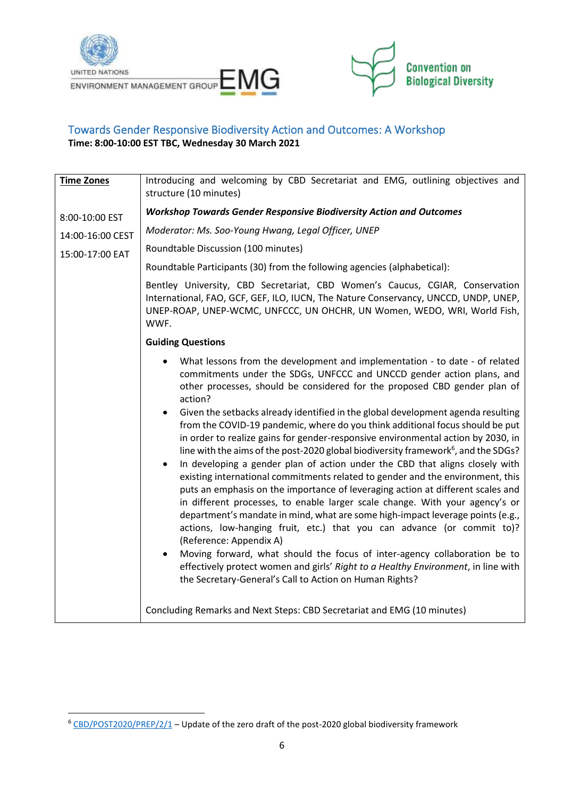



#### Towards Gender Responsive Biodiversity Action and Outcomes: A Workshop **Time: 8:00-10:00 EST TBC, Wednesday 30 March 2021**

| <b>Time Zones</b>                   | Introducing and welcoming by CBD Secretariat and EMG, outlining objectives and<br>structure (10 minutes)                                                                                                                                                                                                                                                                                                                                                                                                                                                                                                                                                                                                                                                                                                                                                                                                                                                                                                                                                                                                                                                                                                                                                                                                                                                                                   |
|-------------------------------------|--------------------------------------------------------------------------------------------------------------------------------------------------------------------------------------------------------------------------------------------------------------------------------------------------------------------------------------------------------------------------------------------------------------------------------------------------------------------------------------------------------------------------------------------------------------------------------------------------------------------------------------------------------------------------------------------------------------------------------------------------------------------------------------------------------------------------------------------------------------------------------------------------------------------------------------------------------------------------------------------------------------------------------------------------------------------------------------------------------------------------------------------------------------------------------------------------------------------------------------------------------------------------------------------------------------------------------------------------------------------------------------------|
| 8:00-10:00 EST                      | <b>Workshop Towards Gender Responsive Biodiversity Action and Outcomes</b>                                                                                                                                                                                                                                                                                                                                                                                                                                                                                                                                                                                                                                                                                                                                                                                                                                                                                                                                                                                                                                                                                                                                                                                                                                                                                                                 |
| 14:00-16:00 CEST<br>15:00-17:00 EAT | Moderator: Ms. Soo-Young Hwang, Legal Officer, UNEP                                                                                                                                                                                                                                                                                                                                                                                                                                                                                                                                                                                                                                                                                                                                                                                                                                                                                                                                                                                                                                                                                                                                                                                                                                                                                                                                        |
|                                     | Roundtable Discussion (100 minutes)                                                                                                                                                                                                                                                                                                                                                                                                                                                                                                                                                                                                                                                                                                                                                                                                                                                                                                                                                                                                                                                                                                                                                                                                                                                                                                                                                        |
|                                     | Roundtable Participants (30) from the following agencies (alphabetical):                                                                                                                                                                                                                                                                                                                                                                                                                                                                                                                                                                                                                                                                                                                                                                                                                                                                                                                                                                                                                                                                                                                                                                                                                                                                                                                   |
|                                     | Bentley University, CBD Secretariat, CBD Women's Caucus, CGIAR, Conservation<br>International, FAO, GCF, GEF, ILO, IUCN, The Nature Conservancy, UNCCD, UNDP, UNEP,<br>UNEP-ROAP, UNEP-WCMC, UNFCCC, UN OHCHR, UN Women, WEDO, WRI, World Fish,<br>WWF.                                                                                                                                                                                                                                                                                                                                                                                                                                                                                                                                                                                                                                                                                                                                                                                                                                                                                                                                                                                                                                                                                                                                    |
|                                     | <b>Guiding Questions</b>                                                                                                                                                                                                                                                                                                                                                                                                                                                                                                                                                                                                                                                                                                                                                                                                                                                                                                                                                                                                                                                                                                                                                                                                                                                                                                                                                                   |
|                                     | What lessons from the development and implementation - to date - of related<br>commitments under the SDGs, UNFCCC and UNCCD gender action plans, and<br>other processes, should be considered for the proposed CBD gender plan of<br>action?<br>Given the setbacks already identified in the global development agenda resulting<br>from the COVID-19 pandemic, where do you think additional focus should be put<br>in order to realize gains for gender-responsive environmental action by 2030, in<br>line with the aims of the post-2020 global biodiversity framework <sup>6</sup> , and the SDGs?<br>In developing a gender plan of action under the CBD that aligns closely with<br>$\bullet$<br>existing international commitments related to gender and the environment, this<br>puts an emphasis on the importance of leveraging action at different scales and<br>in different processes, to enable larger scale change. With your agency's or<br>department's mandate in mind, what are some high-impact leverage points (e.g.,<br>actions, low-hanging fruit, etc.) that you can advance (or commit to)?<br>(Reference: Appendix A)<br>Moving forward, what should the focus of inter-agency collaboration be to<br>$\bullet$<br>effectively protect women and girls' Right to a Healthy Environment, in line with<br>the Secretary-General's Call to Action on Human Rights? |
|                                     | Concluding Remarks and Next Steps: CBD Secretariat and EMG (10 minutes)                                                                                                                                                                                                                                                                                                                                                                                                                                                                                                                                                                                                                                                                                                                                                                                                                                                                                                                                                                                                                                                                                                                                                                                                                                                                                                                    |

 $6$  [CBD/POST2020/PREP/2/1](https://www.cbd.int/doc/c/3064/749a/0f65ac7f9def86707f4eaefa/post2020-prep-02-01-en.pdf) – Update of the zero draft of the post-2020 global biodiversity framework